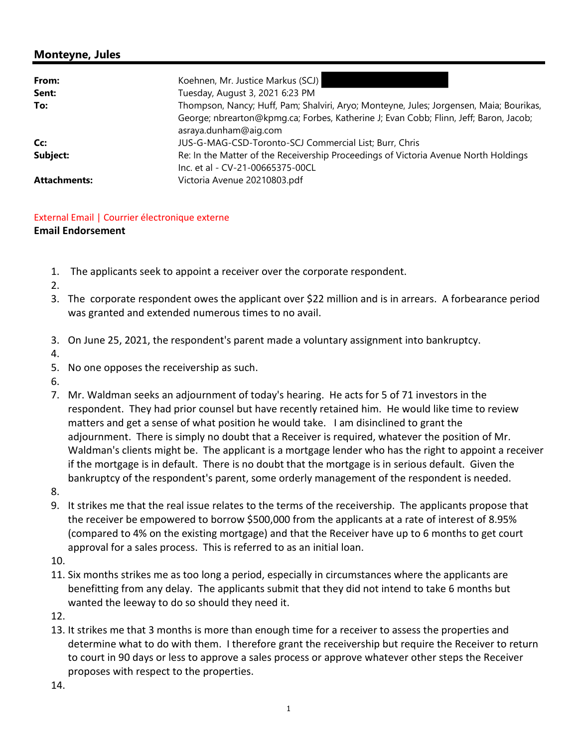## **Monteyne, Jules**

| From:               | Koehnen, Mr. Justice Markus (SCJ)                                                                                       |
|---------------------|-------------------------------------------------------------------------------------------------------------------------|
| Sent:               | Tuesday, August 3, 2021 6:23 PM                                                                                         |
| To:                 | Thompson, Nancy; Huff, Pam; Shalviri, Aryo; Monteyne, Jules; Jorgensen, Maia; Bourikas,                                 |
|                     | George; nbrearton@kpmg.ca; Forbes, Katherine J; Evan Cobb; Flinn, Jeff; Baron, Jacob;<br>asraya.dunham@aig.com          |
| Cc:                 | JUS-G-MAG-CSD-Toronto-SCJ Commercial List; Burr, Chris                                                                  |
| Subject:            | Re: In the Matter of the Receivership Proceedings of Victoria Avenue North Holdings<br>Inc. et al - CV-21-00665375-00CL |
| <b>Attachments:</b> | Victoria Avenue 20210803.pdf                                                                                            |

## External Email | Courrier électronique externe

## **Email Endorsement**

- 1. The applicants seek to appoint a receiver over the corporate respondent.
- 2.
- 3. The corporate respondent owes the applicant over \$22 million and is in arrears. A forbearance period was granted and extended numerous times to no avail.
- 3. On June 25, 2021, the respondent's parent made a voluntary assignment into bankruptcy.
- 4.
- 5. No one opposes the receivership as such.
- 6.
- 7. Mr. Waldman seeks an adjournment of today's hearing. He acts for 5 of 71 investors in the respondent. They had prior counsel but have recently retained him. He would like time to review matters and get a sense of what position he would take. I am disinclined to grant the adjournment. There is simply no doubt that a Receiver is required, whatever the position of Mr. Waldman's clients might be. The applicant is a mortgage lender who has the right to appoint a receiver if the mortgage is in default. There is no doubt that the mortgage is in serious default. Given the bankruptcy of the respondent's parent, some orderly management of the respondent is needed.
- 8.
- 9. It strikes me that the real issue relates to the terms of the receivership. The applicants propose that the receiver be empowered to borrow \$500,000 from the applicants at a rate of interest of 8.95% (compared to 4% on the existing mortgage) and that the Receiver have up to 6 months to get court approval for a sales process. This is referred to as an initial loan.
- 10.
- 11. Six months strikes me as too long a period, especially in circumstances where the applicants are benefitting from any delay. The applicants submit that they did not intend to take 6 months but wanted the leeway to do so should they need it.
- 12.
- 13. It strikes me that 3 months is more than enough time for a receiver to assess the properties and determine what to do with them. I therefore grant the receivership but require the Receiver to return to court in 90 days or less to approve a sales process or approve whatever other steps the Receiver proposes with respect to the properties.

14.